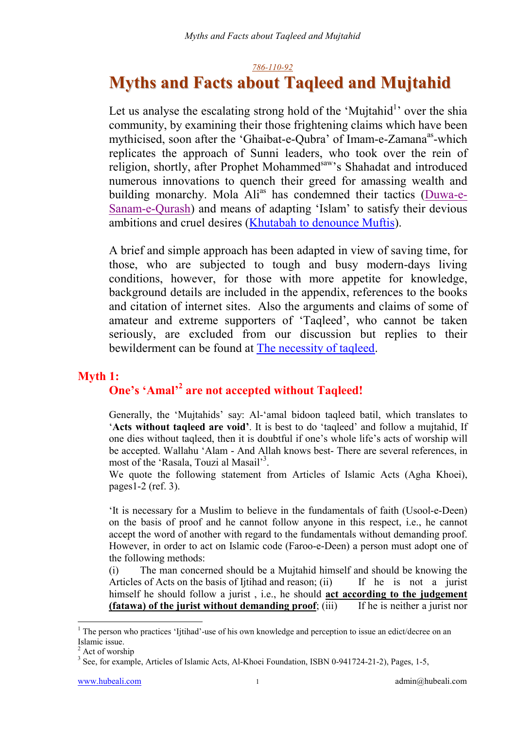#### *786-110-92*

# **Myths and Facts about Taqleed and Mujtahid**

Let us analyse the escalating strong hold of the 'Mujtahid<sup>1</sup>' over the shia community, by examining their those frightening claims which have been mythicised, soon after the 'Ghaibat-e-Qubra' of Imam-e-Zamana<sup>as</sup>-which replicates the approach of Sunni leaders, who took over the rein of religion, shortly, after Prophet Mohammed<sup>saw</sup>'s Shahadat and introduced numerous innovations to quench their greed for amassing wealth and building monarchy. Mola Ali<sup>as</sup> has condemned their tactics (Duwa-e-Sanam-e-Qurash) and means of adapting 'Islam' to satisfy their devious ambitions and cruel desires (Khutabah to denounce Muftis).

A brief and simple approach has been adapted in view of saving time, for those, who are subjected to tough and busy modern-days living conditions, however, for those with more appetite for knowledge, background details are included in the appendix, references to the books and citation of internet sites. Also the arguments and claims of some of amateur and extreme supporters of 'Taqleed', who cannot be taken seriously, are excluded from our discussion but replies to their bewilderment can be found at The necessity of taqleed.

# **Myth 1:**

# One's 'Amal'<sup>2</sup> are not accepted without Taqleed!

Generally, the 'Mujtahids' say: Al-'amal bidoon taqleed batil, which translates to '**Acts without taqleed are void'**. It is best to do 'taqleed' and follow a mujtahid, If one dies without taqleed, then it is doubtful if one's whole life's acts of worship will be accepted. Wallahu 'Alam - And Allah knows best- There are several references, in most of the 'Rasala, Touzi al Masail'<sup>3</sup>.

We quote the following statement from Articles of Islamic Acts (Agha Khoei), pages1-2 (ref. 3).

'It is necessary for a Muslim to believe in the fundamentals of faith (Usool-e-Deen) on the basis of proof and he cannot follow anyone in this respect, i.e., he cannot accept the word of another with regard to the fundamentals without demanding proof. However, in order to act on Islamic code (Faroo-e-Deen) a person must adopt one of the following methods:

(i) The man concerned should be a Mujtahid himself and should be knowing the Articles of Acts on the basis of Ijtihad and reason; (ii) If he is not a jurist himself he should follow a jurist , i.e., he should **act according to the judgement (fatawa) of the jurist without demanding proof**; (iii) If he is neither a jurist nor

<sup>&</sup>lt;sup>1</sup> The person who practices 'Ijtihad'-use of his own knowledge and perception to issue an edict/decree on an Islamic issue.

<sup>&</sup>lt;sup>2</sup> Act of worship

<sup>&</sup>lt;sup>3</sup> See, for example, Articles of Islamic Acts, Al-Khoei Foundation, ISBN 0-941724-21-2), Pages, 1-5,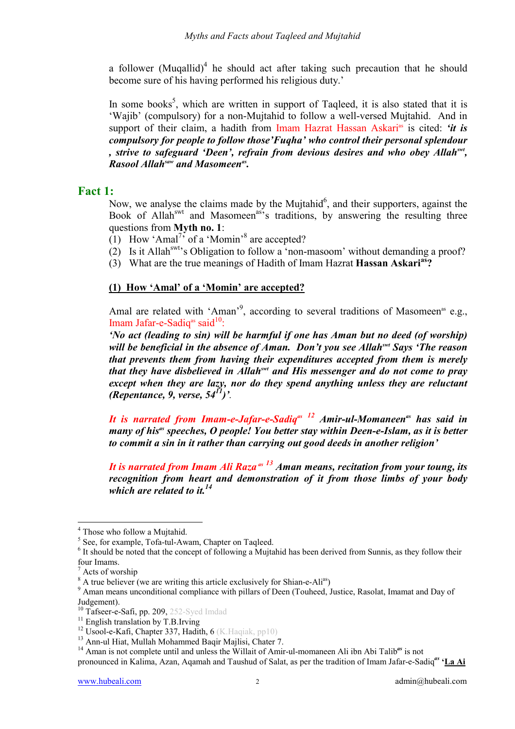a follower (Muqallid)<sup>4</sup> he should act after taking such precaution that he should become sure of his having performed his religious duty.'

In some books<sup>5</sup>, which are written in support of Taqleed, it is also stated that it is 'Wajib' (compulsory) for a non-Mujtahid to follow a well-versed Mujtahid. And in support of their claim, a hadith from Imam Hazrat Hassan Askari<sup>as</sup> is cited: *'it is compulsory for people to follow those'Fuqha' who control their personal splendour , strive to safeguard 'Deen', refrain from devious desires and who obey Allahswt, Rasool Allah<sup>saw</sup> and Masomeen<sup>as</sup>.* 

### **Fact 1:**

Now, we analyse the claims made by the Mujtahid<sup>6</sup>, and their supporters, against the Book of Allah<sup>swt</sup> and Masomeen<sup>as'</sup>s traditions, by answering the resulting three questions from **Myth no. 1**:

(1) How 'Amal<sup>7</sup>, of a 'Momin'<sup>8</sup> are accepted?

- (2) Is it Allah<sup>swt</sup>'s Obligation to follow a 'non-masoom' without demanding a proof?
- (3) What are the true meanings of Hadith of Imam Hazrat **Hassan Askarias?**

#### **(1) How 'Amal' of a 'Momin' are accepted?**

Amal are related with 'Aman'<sup>9</sup>, according to several traditions of Masomeen<sup>as</sup> e.g., Imam Jafar-e-Sadiq<sup>as</sup> said<sup>10</sup>:

*'No act (leading to sin) will be harmful if one has Aman but no deed (of worship) will be beneficial in the absence of Aman. Don't you see Allahswt Says 'The reason that prevents them from having their expenditures accepted from them is merely that they have disbelieved in Allahswt and His messenger and do not come to pray except when they are lazy, nor do they spend anything unless they are reluctant (Repentance, 9, verse, 5411)'.*

*It is narrated from Imam-e-Jafar-e-Sadiq<sup>as 12</sup> Amir-ul-Momaneen<sup>as</sup> has said in many of his<sup>as</sup> speeches, O people! You better stay within Deen-e-Islam, as it is better to commit a sin in it rather than carrying out good deeds in another religion'* 

*It is narrated from Imam Ali Raza*<sup>as 13</sup> Aman means, recitation from your toung, its *recognition from heart and demonstration of it from those limbs of your body which are related to it.14*

<sup>&</sup>lt;sup>4</sup> Those who follow a Mujtahid.

<sup>&</sup>lt;sup>5</sup> See, for example, Tofa-tul-Awam, Chapter on Taqleed.

<sup>&</sup>lt;sup>6</sup> It should be noted that the concept of following a Mujtahid has been derived from Sunnis, as they follow their four Imams.

<sup>7</sup> Acts of worship

 $^8$  A true believer (we are writing this article exclusively for Shian-e-Ali<sup>as</sup>)

<sup>&</sup>lt;sup>9</sup> Aman means unconditional compliance with pillars of Deen (Touheed, Justice, Rasolat, Imamat and Day of Judgement).<br><sup>10</sup> Tafseer-e-Safi, pp. 209, 252-Syed Imdad

<sup>&</sup>lt;sup>11</sup> English translation by T.B.Irving<br><sup>12</sup> Usool-e-Kafi, Chapter 337, Hadith, 6 (K.Haqiak, pp10)

<sup>&</sup>lt;sup>13</sup> Ann-ul Hiat, Mullah Mohammed Baqir Majlisi, Chater 7.

<sup>&</sup>lt;sup>14</sup> Aman is not complete until and unless the Willait of Amir-ul-momaneen Ali ibn Abi Talib<sup>as</sup> is not

pronounced in Kalima, Azan, Aqamah and Taushud of Salat, as per the tradition of Imam Jafar-e-Sadiq*as* **'La Ai**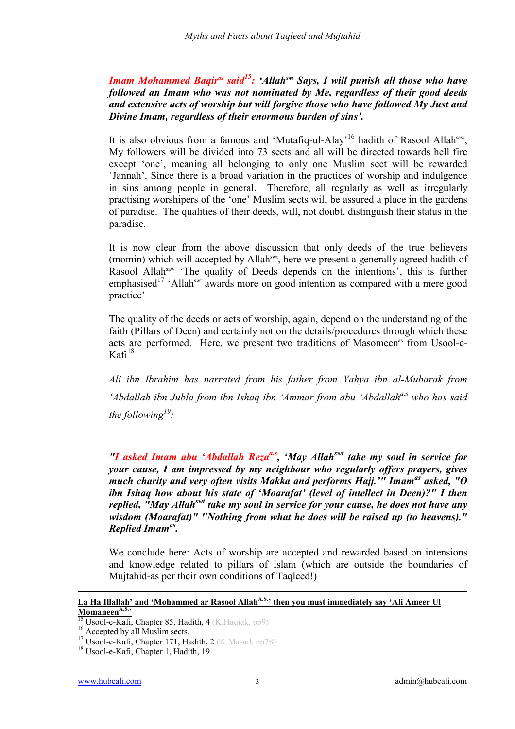*Imam Mohammed Baqir<sup>as</sup> said<sup>15</sup>: 'Allah<sup>swt</sup> Says, I will punish all those who have followed an Imam who was not nominated by Me, regardless of their good deeds and extensive acts of worship but will forgive those who have followed My Just and Divine Imam, regardless of their enormous burden of sins'.* 

It is also obvious from a famous and 'Mutafiq-ul-Alay'<sup>16</sup> hadith of Rasool Allah<sup>saw</sup>, My followers will be divided into 73 sects and all will be directed towards hell fire except 'one', meaning all belonging to only one Muslim sect will be rewarded 'Jannah'. Since there is a broad variation in the practices of worship and indulgence in sins among people in general. Therefore, all regularly as well as irregularly practising worshipers of the 'one' Muslim sects will be assured a place in the gardens of paradise. The qualities of their deeds, will, not doubt, distinguish their status in the paradise.

It is now clear from the above discussion that only deeds of the true believers (momin) which will accepted by Allah<sup>swt</sup>, here we present a generally agreed hadith of Rasool Allah<sup>saw</sup> 'The quality of Deeds depends on the intentions', this is further emphasised<sup>17</sup> 'Allah<sup>swt</sup> awards more on good intention as compared with a mere good practice'

The quality of the deeds or acts of worship, again, depend on the understanding of the faith (Pillars of Deen) and certainly not on the details/procedures through which these acts are performed. Here, we present two traditions of Masomeen<sup>as</sup> from Usool-e- $Kafi<sup>18</sup>$ 

*Ali ibn Ibrahim has narrated from his father from Yahya ibn al-Mubarak from*  'Abdallah ibn Jubla from ibn Ishaq ibn 'Ammar from abu 'Abdallah<sup>a.s</sup> who has said *the following19 :* 

*"I asked Imam abu 'Abdallah Reza<sup>a.s</sup>, 'May Allah<sup>swt</sup> take my soul in service for your cause, I am impressed by my neighbour who regularly offers prayers, gives much charity and very often visits Makka and performs Hajj.'" Imamas asked, "O ibn Ishaq how about his state of 'Moarafat' (level of intellect in Deen)?" I then replied, "May Allahswt take my soul in service for your cause, he does not have any wisdom (Moarafat)" "Nothing from what he does will be raised up (to heavens)." Replied Imamas.*

We conclude here: Acts of worship are accepted and rewarded based on intensions and knowledge related to pillars of Islam (which are outside the boundaries of Mujtahid-as per their own conditions of Taqleed!)

# La Ha Illallah' and 'Mohammed ar Rasool Allah<sup>A.S.</sup>' then you must immediately say 'Ali Ameer Ul Momaneen<sup>A.S.</sup>'

<u>.</u>

<sup>&</sup>lt;sup>15</sup> Usool-e-Kafi, Chapter 85, Hadith, 4 (K.Haqiak, pp9) <sup>16</sup> Accepted by all Muslim sects.

<sup>17</sup> Usool-e-Kafi, Chapter 171, Hadith, 2 (K.Masail, pp78) <sup>18</sup> Usool-e-Kafi, Chapter 1, Hadith, 19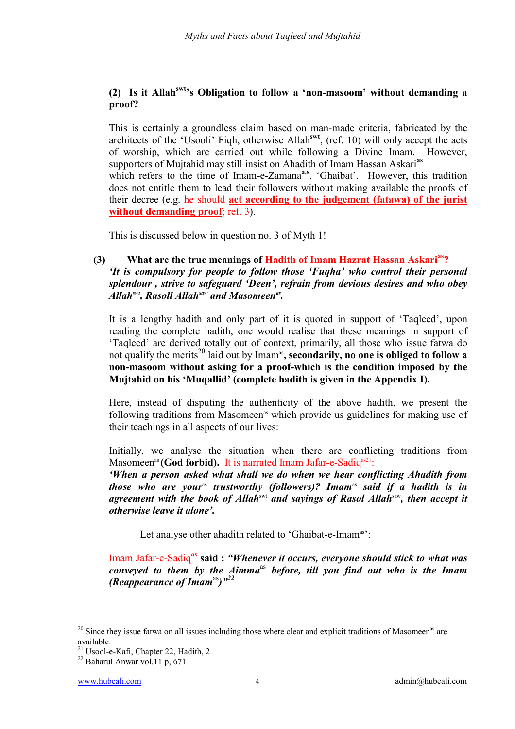#### **(2) Is it Allahswt's Obligation to follow a 'non-masoom' without demanding a proof?**

This is certainly a groundless claim based on man-made criteria, fabricated by the architects of the 'Usooli' Fiqh, otherwise Allah**swt**, (ref. 10) will only accept the acts of worship, which are carried out while following a Divine Imam. However, supporters of Mujtahid may still insist on Ahadith of Imam Hassan Askari**as**

which refers to the time of Imam-e-Zamana<sup>a.s</sup>, 'Ghaibat'. However, this tradition does not entitle them to lead their followers without making available the proofs of their decree (e.g. he should **act according to the judgement (fatawa) of the jurist without demanding proof**; ref. 3).

This is discussed below in question no. 3 of Myth 1!

#### **(3) What are the true meanings of Hadith of Imam Hazrat Hassan Askarias?** *'It is compulsory for people to follow those 'Fuqha' who control their personal splendour , strive to safeguard 'Deen', refrain from devious desires and who obey Allahswt, Rasoll Allahsaw and Masomeenas.*

It is a lengthy hadith and only part of it is quoted in support of 'Taqleed', upon reading the complete hadith, one would realise that these meanings in support of 'Taqleed' are derived totally out of context, primarily, all those who issue fatwa do not qualify the merits<sup>20</sup> laid out by Imam<sup>as</sup>, secondarily, no one is obliged to follow a **non-masoom without asking for a proof-which is the condition imposed by the Mujtahid on his 'Muqallid' (complete hadith is given in the Appendix I).** 

Here, instead of disputing the authenticity of the above hadith, we present the following traditions from Masomeen<sup>as</sup> which provide us guidelines for making use of their teachings in all aspects of our lives:

Initially, we analyse the situation when there are conflicting traditions from Masomeen<sup>as</sup> (God forbid). It is narrated Imam Jafar-e-Sadiq<sup>as21</sup>:

*'When a person asked what shall we do when we hear conflicting Ahadith from those who are your*<sup>as</sup> trustworthy (followers)? Imam<sup>as</sup> said if a hadith is in *agreement with the book of Allah*swt *and sayings of Rasol Allah*saw*, then accept it otherwise leave it alone'.* 

Let analyse other ahadith related to 'Ghaibat-e-Imam<sup>as</sup>':

Imam Jafar-e-Sadiq**as said :** *"Whenever it occurs, everyone should stick to what was conveyed to them by the Aimma*as *before, till you find out who is the Imam (Reappearance of Imam*<sup>as</sup>)<sup>"22</sup>

 $20$  Since they issue fatwa on all issues including those where clear and explicit traditions of Masomeen<sup>as</sup> are available.

<sup>21</sup> Usool-e-Kafi, Chapter 22, Hadith, 2

<sup>22</sup> Baharul Anwar vol.11 p, 671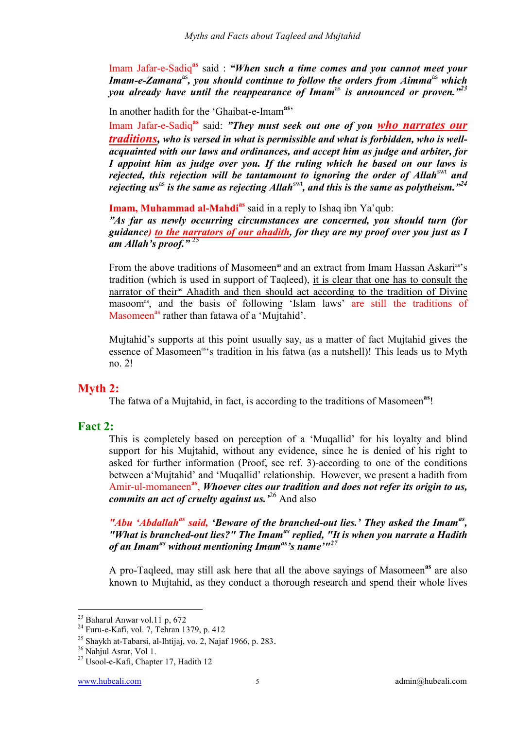Imam Jafar-e-Sadiq<sup>as</sup> said : *"When such a time comes and you cannot meet your Imam-e-Zamana*<sup>as</sup>, you should continue to follow the orders from Aimma<sup>as</sup> which *you already have until the reappearance of Imam<sup>as</sup> is announced or proven.*"<sup>23</sup>

In another hadith for the 'Ghaibat-e-Imam**as**'

Imam Jafar-e-Sadiq**as** said: *"They must seek out one of you who narrates our traditions, who is versed in what is permissible and what is forbidden, who is wellacquainted with our laws and ordinances, and accept him as judge and arbiter, for I appoint him as judge over you. If the ruling which he based on our laws is rejected, this rejection will be tantamount to ignoring the order of Allah*<sup>swt</sup> and *rejecting us*<sup>as</sup> is the same as rejecting Allah<sup>swt</sup>, and this is the same as polytheism."<sup>24</sup>

**Imam, Muhammad al-Mahdias** said in a reply to Ishaq ibn Ya'qub:

*"As far as newly occurring circumstances are concerned, you should turn (for guidance) to the narrators of our ahadith, for they are my proof over you just as I am Allah's proof."* 25

From the above traditions of Masomeen<sup>as</sup> and an extract from Imam Hassan Askari<sup>as</sup>'s tradition (which is used in support of Taqleed), it is clear that one has to consult the narrator of their<sup>as</sup> Ahadith and then should act according to the tradition of Divine masoom<sup>as</sup>, and the basis of following 'Islam laws' are still the traditions of Masomeen<sup>as</sup> rather than fatawa of a 'Mujtahid'.

Mujtahid's supports at this point usually say, as a matter of fact Mujtahid gives the essence of Masomeen<sup>as'</sup>s tradition in his fatwa (as a nutshell)! This leads us to Myth no. 2!

# **Myth 2:**

The fatwa of a Mujtahid, in fact, is according to the traditions of Masomeen**as**!

### **Fact 2:**

This is completely based on perception of a 'Muqallid' for his loyalty and blind support for his Mujtahid, without any evidence, since he is denied of his right to asked for further information (Proof, see ref. 3)-according to one of the conditions between a'Mujtahid' and 'Muqallid' relationship. However, we present a hadith from Amir-ul-momaneen**as**, *Whoever cites our tradition and does not refer its origin to us, commits an act of cruelty against us.'*26 And also

"Abu 'Abdallah<sup>as</sup> said, 'Beware of the branched-out lies.' They asked the Imam<sup>as</sup>, *"What is branched-out lies?" The Imamas replied, "It is when you narrate a Hadith of an Imamas without mentioning Imamas's name'"27*

A pro-Taqleed, may still ask here that all the above sayings of Masomeen**as** are also known to Mujtahid, as they conduct a thorough research and spend their whole lives

<sup>23</sup> Baharul Anwar vol.11 p, 672

<sup>24</sup> Furu-e-Kafi, vol. 7, Tehran 1379, p. 412

<sup>&</sup>lt;sup>25</sup> Shaykh at-Tabarsi, al-Ihtijaj, vo. 2, Najaf 1966, p. 283.<br><sup>26</sup> Nahiul Asrar, Vol 1.

<sup>&</sup>lt;sup>27</sup> Usool-e-Kafi, Chapter 17, Hadith 12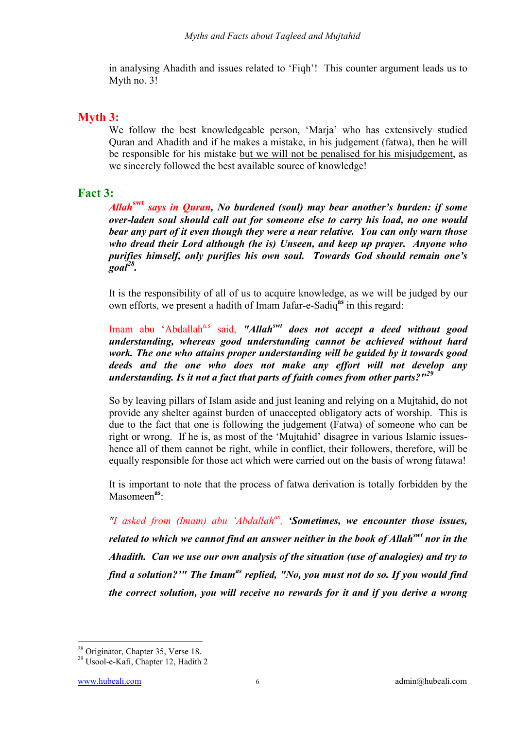in analysing Ahadith and issues related to 'Fiqh'! This counter argument leads us to Myth no. 3!

# **Myth 3:**

We follow the best knowledgeable person, 'Marja' who has extensively studied Quran and Ahadith and if he makes a mistake, in his judgement (fatwa), then he will be responsible for his mistake but we will not be penalised for his misjudgement, as we sincerely followed the best available source of knowledge!

## **Fact 3:**

*Allah***swt** *says in Quran, No burdened (soul) may bear another's burden: if some over-laden soul should call out for someone else to carry his load, no one would bear any part of it even though they were a near relative. You can only warn those who dread their Lord although (he is) Unseen, and keep up prayer. Anyone who purifies himself, only purifies his own soul. Towards God should remain one's goal28.* 

 It is the responsibility of all of us to acquire knowledge, as we will be judged by our own efforts, we present a hadith of Imam Jafar-e-Sadiq**as** in this regard:

Imam abu 'Abdallah<sup>a.s</sup> said, "Allah<sup>*swt</sup> does not accept a deed without good*</sup> *understanding, whereas good understanding cannot be achieved without hard work. The one who attains proper understanding will be guided by it towards good deeds and the one who does not make any effort will not develop any understanding. Is it not a fact that parts of faith comes from other parts?"<sup>29</sup>*

 So by leaving pillars of Islam aside and just leaning and relying on a Mujtahid, do not provide any shelter against burden of unaccepted obligatory acts of worship. This is due to the fact that one is following the judgement (Fatwa) of someone who can be right or wrong. If he is, as most of the 'Mujtahid' disagree in various Islamic issueshence all of them cannot be right, while in conflict, their followers, therefore, will be equally responsible for those act which were carried out on the basis of wrong fatawa!

 It is important to note that the process of fatwa derivation is totally forbidden by the Masomeen**as**:

*"I asked from (Imam) abu 'Abdallahas, 'Sometimes, we encounter those issues, related to which we cannot find an answer neither in the book of Allahswt nor in the Ahadith. Can we use our own analysis of the situation (use of analogies) and try to find a solution?'" The Imamas replied, "No, you must not do so. If you would find the correct solution, you will receive no rewards for it and if you derive a wrong* 

 $\overline{a}$ 28 Originator, Chapter 35, Verse 18.

<sup>29</sup> Usool-e-Kafi, Chapter 12, Hadith 2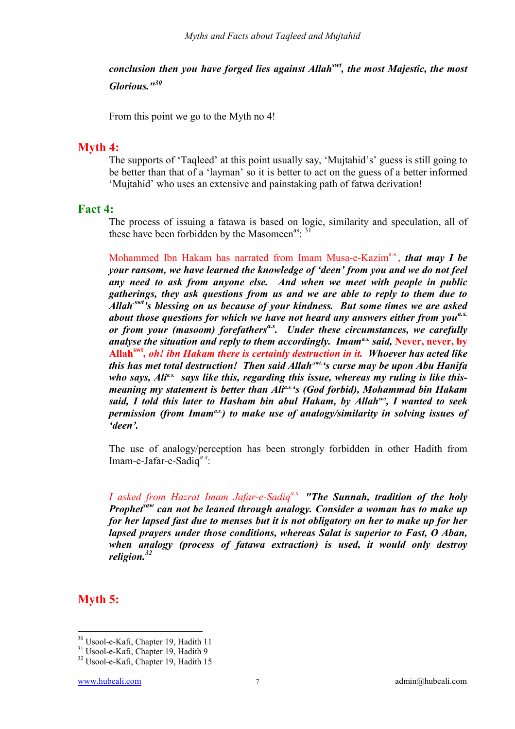*conclusion then you have forged lies against Allahswt, the most Majestic, the most Glorious."<sup>30</sup>*

From this point we go to the Myth no 4!

#### **Myth 4:**

The supports of 'Taqleed' at this point usually say, 'Mujtahid's' guess is still going to be better than that of a 'layman' so it is better to act on the guess of a better informed 'Mujtahid' who uses an extensive and painstaking path of fatwa derivation!

#### **Fact 4:**

The process of issuing a fatawa is based on logic, similarity and speculation, all of these have been forbidden by the Masomeen<sup>as</sup>: <sup>31</sup>

Mohammed Ibn Hakam has narrated from Imam Musa-e-Kazim<sup>a.s.</sup>, *that may I be your ransom, we have learned the knowledge of 'deen' from you and we do not feel any need to ask from anyone else. And when we meet with people in public gatherings, they ask questions from us and we are able to reply to them due to Allah.swt's blessing on us because of your kindness. But some times we are asked about those questions for which we have not heard any answers either from youa.s. or from your (masoom) forefathers*<sup>*a.s. Under these circumstances, we carefully*</sup> *analyse the situation and reply to them accordingly. Imam<sup>as</sup> said, Never, never, by* **Allahswt***, oh! ibn Hakam there is certainly destruction in it. Whoever has acted like this has met total destruction! Then said Allah.swt.'s curse may be upon Abu Hanifa*  who says, Ali<sup>as.</sup> says like this, regarding this issue, whereas my ruling is like this*meaning my statement is better than Ali<sup>a.s.</sup>'s (God forbid), Mohammad bin Hakam said, I told this later to Hasham bin abul Hakam, by Allahswt, I wanted to seek permission (from Imam<sup>as)</sup> to make use of analogy/similarity in solving issues of 'deen'.*

The use of analogy/perception has been strongly forbidden in other Hadith from Imam-e-Jafar-e-Sadiq*a.s*:

*I asked from Hazrat Imam Jafar-e-Sadiqa.s. "The Sunnah, tradition of the holy Prophetsaw can not be leaned through analogy. Consider a woman has to make up for her lapsed fast due to menses but it is not obligatory on her to make up for her lapsed prayers under those conditions, whereas Salat is superior to Fast, O Aban, when analogy (process of fatawa extraction) is used, it would only destroy religion.32*

**Myth 5:**

<sup>30</sup> Usool-e-Kafi, Chapter 19, Hadith 11

<sup>&</sup>lt;sup>31</sup> Usool-e-Kafi, Chapter 19, Hadith 9

<sup>32</sup> Usool-e-Kafi, Chapter 19, Hadith 15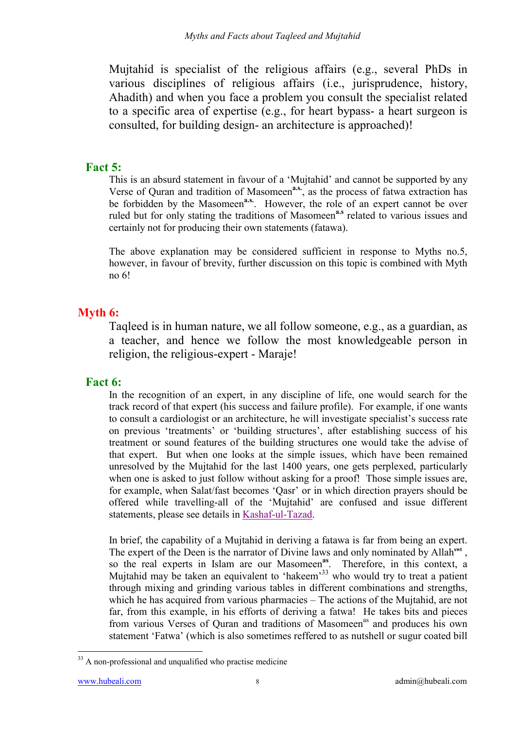Mujtahid is specialist of the religious affairs (e.g., several PhDs in various disciplines of religious affairs (i.e., jurisprudence, history, Ahadith) and when you face a problem you consult the specialist related to a specific area of expertise (e.g., for heart bypass- a heart surgeon is consulted, for building design- an architecture is approached)!

**Fact 5:**<br>This is an absurd statement in favour of a 'Mujtahid' and cannot be supported by any Verse of Quran and tradition of Masomeen**a.s.**, as the process of fatwa extraction has be forbidden by the Masomeen<sup>a.s.</sup>. However, the role of an expert cannot be over ruled but for only stating the traditions of Masomeen<sup>a.s</sup> related to various issues and certainly not for producing their own statements (fatawa).

The above explanation may be considered sufficient in response to Myths no.5, however, in favour of brevity, further discussion on this topic is combined with Myth no 6!

# **Myth 6:**

Taqleed is in human nature, we all follow someone, e.g., as a guardian, as a teacher, and hence we follow the most knowledgeable person in religion, the religious-expert - Maraje!

**Fact 6:**<br>In the recognition of an expert, in any discipline of life, one would search for the track record of that expert (his success and failure profile). For example, if one wants to consult a cardiologist or an architecture, he will investigate specialist's success rate on previous 'treatments' or 'building structures', after establishing success of his treatment or sound features of the building structures one would take the advise of that expert. But when one looks at the simple issues, which have been remained unresolved by the Mujtahid for the last 1400 years, one gets perplexed, particularly when one is asked to just follow without asking for a proof! Those simple issues are, for example, when Salat/fast becomes 'Qasr' or in which direction prayers should be offered while travelling-all of the 'Mujtahid' are confused and issue different statements, please see details in Kashaf-ul-Tazad.

In brief, the capability of a Mujtahid in deriving a fatawa is far from being an expert. The expert of the Deen is the narrator of Divine laws and only nominated by Allah<sup>swt</sup>, so the real experts in Islam are our Masomeen**as**. Therefore, in this context, a Mujtahid may be taken an equivalent to 'hakeem'<sup>33</sup> who would try to treat a patient through mixing and grinding various tables in different combinations and strengths, which he has acquired from various pharmacies – The actions of the Mujtahid, are not far, from this example, in his efforts of deriving a fatwa! He takes bits and pieces from various Verses of Ouran and traditions of Masomeen<sup>as</sup> and produces his own statement 'Fatwa' (which is also sometimes reffered to as nutshell or sugur coated bill

 $\overline{a}$  $33$  A non-professional and unqualified who practise medicine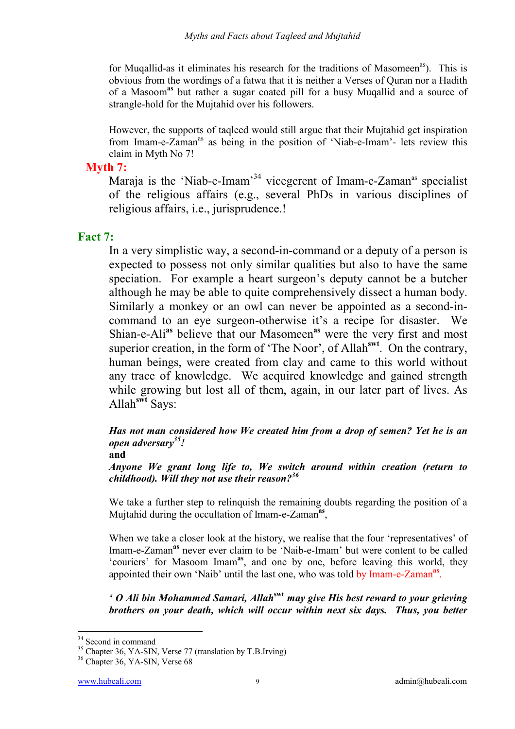for Muqallid-as it eliminates his research for the traditions of Masomeen<sup>as</sup>). This is obvious from the wordings of a fatwa that it is neither a Verses of Quran nor a Hadith of a Masoom**as** but rather a sugar coated pill for a busy Muqallid and a source of strangle-hold for the Mujtahid over his followers.

However, the supports of taqleed would still argue that their Mujtahid get inspiration from Imam-e-Zaman<sup>as</sup> as being in the position of 'Niab-e-Imam'- lets review this claim in Myth No 7!

### **Myth 7:**

Maraja is the 'Niab-e-Imam'<sup>34</sup> vicegerent of Imam-e-Zaman<sup>as</sup> specialist of the religious affairs (e.g., several PhDs in various disciplines of religious affairs, i.e., jurisprudence.!

## **Fact 7:**

In a very simplistic way, a second-in-command or a deputy of a person is expected to possess not only similar qualities but also to have the same speciation. For example a heart surgeon's deputy cannot be a butcher although he may be able to quite comprehensively dissect a human body. Similarly a monkey or an owl can never be appointed as a second-incommand to an eye surgeon-otherwise it's a recipe for disaster. We Shian-e-Ali**as** believe that our Masomeen**as** were the very first and most superior creation, in the form of 'The Noor', of Allah<sup>swt</sup>. On the contrary, human beings, were created from clay and came to this world without any trace of knowledge. We acquired knowledge and gained strength while growing but lost all of them, again, in our later part of lives. As Allah**swt** Says:

*Has not man considered how We created him from a drop of semen? Yet he is an open adversary35!* 

**and** 

*Anyone We grant long life to, We switch around within creation (return to childhood). Will they not use their reason?36* 

We take a further step to relinquish the remaining doubts regarding the position of a Mujtahid during the occultation of Imam-e-Zaman**as**,

When we take a closer look at the history, we realise that the four 'representatives' of Imam-e-Zaman**as** never ever claim to be 'Naib-e-Imam' but were content to be called 'couriers' for Masoom Imam**as**, and one by one, before leaving this world, they appointed their own 'Naib' until the last one, who was told by Imam-e-Zaman**as**.

*' O Ali bin Mohammed Samari, Allah***swt** *may give His best reward to your grieving brothers on your death, which will occur within next six days. Thus, you better* 

<sup>&</sup>lt;sup>34</sup> Second in command

 $35$  Chapter 36, YA-SIN, Verse 77 (translation by T.B.Irving)

<sup>&</sup>lt;sup>36</sup> Chapter 36, YA-SIN, Verse 68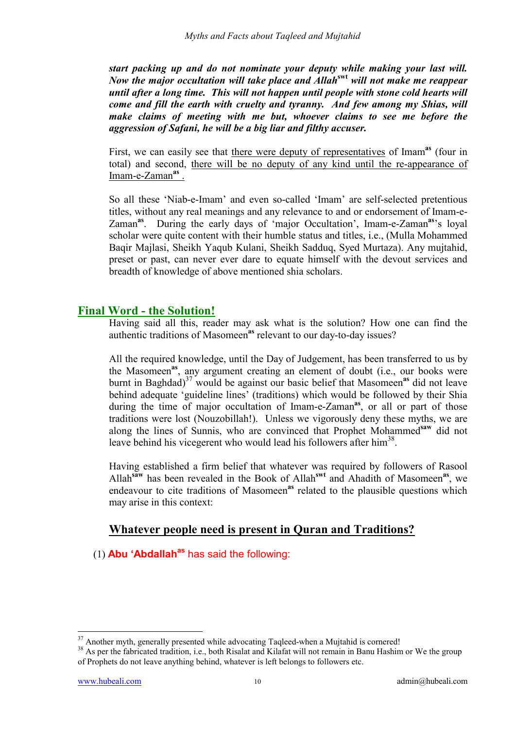*start packing up and do not nominate your deputy while making your last will. Now the major occultation will take place and Allah***swt** *will not make me reappear until after a long time. This will not happen until people with stone cold hearts will come and fill the earth with cruelty and tyranny. And few among my Shias, will make claims of meeting with me but, whoever claims to see me before the aggression of Safani, he will be a big liar and filthy accuser.*

First, we can easily see that there were deputy of representatives of Imam<sup>as</sup> (four in total) and second, there will be no deputy of any kind until the re-appearance of Imam-e-Zaman**as** .

So all these 'Niab-e-Imam' and even so-called 'Imam' are self-selected pretentious titles, without any real meanings and any relevance to and or endorsement of Imam-e-Zaman**as**. During the early days of 'major Occultation', Imam-e-Zaman**as**'s loyal scholar were quite content with their humble status and titles, i.e., (Mulla Mohammed Baqir Majlasi, Sheikh Yaqub Kulani, Sheikh Sadduq, Syed Murtaza). Any mujtahid, preset or past, can never ever dare to equate himself with the devout services and breadth of knowledge of above mentioned shia scholars.

# **Final Word - the Solution!**

Having said all this, reader may ask what is the solution? How one can find the authentic traditions of Masomeen**as** relevant to our day-to-day issues?

All the required knowledge, until the Day of Judgement, has been transferred to us by the Masomeen**as**, any argument creating an element of doubt (i.e., our books were burnt in Baghdad)<sup>37</sup> would be against our basic belief that Masomeen<sup>as</sup> did not leave behind adequate 'guideline lines' (traditions) which would be followed by their Shia during the time of major occultation of Imam-e-Zaman**as**, or all or part of those traditions were lost (Nouzobillah!). Unless we vigorously deny these myths, we are along the lines of Sunnis, who are convinced that Prophet Mohammed**saw** did not leave behind his vicegerent who would lead his followers after him<sup>38</sup>.

Having established a firm belief that whatever was required by followers of Rasool Allah**saw** has been revealed in the Book of Allah**swt** and Ahadith of Masomeen**as**, we endeavour to cite traditions of Masomeen<sup>as</sup> related to the plausible questions which may arise in this context:

# **Whatever people need is present in Quran and Traditions?**

(1) **Abu 'Abdallah<sup>as</sup>** has said the following:

 $37$  Another myth, generally presented while advocating Taqleed-when a Mujtahid is cornered!

<sup>&</sup>lt;sup>38</sup> As per the fabricated tradition, i.e., both Risalat and Kilafat will not remain in Banu Hashim or We the group of Prophets do not leave anything behind, whatever is left belongs to followers etc.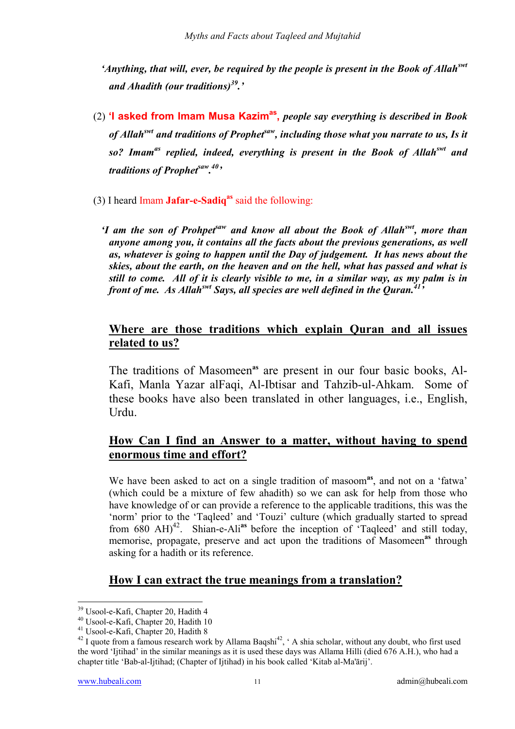*'Anything, that will, ever, be required by the people is present in the Book of Allahswt and Ahadith (our traditions)39.'* 

- (2) **'I asked from Imam Musa Kazimas,** *people say everything is described in Book of Allah*<sup>*swt*</sup> and traditions of Prophet<sup>saw</sup>, including those what you narrate to us, Is it *so? Imamas replied, indeed, everything is present in the Book of Allahswt and traditions of Prophetsaw. 40'*
- (3) I heard Imam **Jafar-e-Sadiqas** said the following:
	- *'I am the son of Prohpetsaw and know all about the Book of Allahswt, more than anyone among you, it contains all the facts about the previous generations, as well as, whatever is going to happen until the Day of judgement. It has news about the skies, about the earth, on the heaven and on the hell, what has passed and what is still to come. All of it is clearly visible to me, in a similar way, as my palm is in front of me. As Allah*<sup>*swt</sup> Says, all species are well defined in the Ouran.*<sup>415</sup></sup>

## **Where are those traditions which explain Quran and all issues related to us?**

The traditions of Masomeen**as** are present in our four basic books, Al-Kafi, Manla Yazar alFaqi, Al-Ibtisar and Tahzib-ul-Ahkam. Some of these books have also been translated in other languages, i.e., English, Urdu.

# **How Can I find an Answer to a matter, without having to spend enormous time and effort?**

We have been asked to act on a single tradition of masoom<sup>as</sup>, and not on a 'fatwa' (which could be a mixture of few ahadith) so we can ask for help from those who have knowledge of or can provide a reference to the applicable traditions, this was the 'norm' prior to the 'Taqleed' and 'Touzi' culture (which gradually started to spread from 680 AH)<sup>42</sup>. Shian-e-Ali<sup>as</sup> before the inception of 'Taqleed' and still today, memorise, propagate, preserve and act upon the traditions of Masomeen<sup>as</sup> through asking for a hadith or its reference.

# **How I can extract the true meanings from a translation?**

<sup>39</sup> Usool-e-Kafi, Chapter 20, Hadith 4

<sup>40</sup> Usool-e-Kafi, Chapter 20, Hadith 10

<sup>41</sup> Usool-e-Kafi, Chapter 20, Hadith 8

 $42$  I quote from a famous research work by Allama Baqshi<sup>42</sup>,  $\cdot$  A shia scholar, without any doubt, who first used the word 'Ijtihad' in the similar meanings as it is used these days was Allama Hilli (died 676 A.H.), who had a chapter title 'Bab-al-Ijtihad; (Chapter of Ijtihad) in his book called 'Kitab al-Ma'ārij'.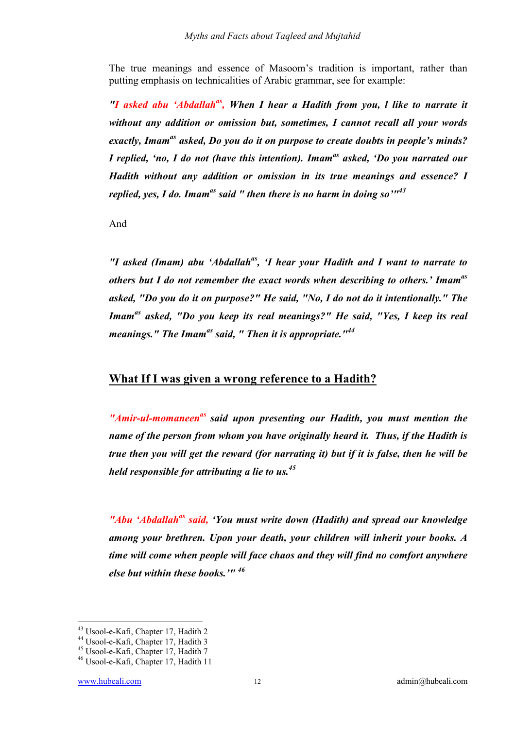The true meanings and essence of Masoom's tradition is important, rather than putting emphasis on technicalities of Arabic grammar, see for example:

*"I asked abu 'Abdallahas, When I hear a Hadith from you, l like to narrate it without any addition or omission but, sometimes, I cannot recall all your words exactly, Imamas asked, Do you do it on purpose to create doubts in people's minds? I replied, 'no, I do not (have this intention). Imamas asked, 'Do you narrated our Hadith without any addition or omission in its true meanings and essence? I replied, yes, I do. Imamas said " then there is no harm in doing so'"43* 

And

*"I asked (Imam) abu 'Abdallahas, 'I hear your Hadith and I want to narrate to others but I do not remember the exact words when describing to others.' Imamas asked, "Do you do it on purpose?" He said, "No, I do not do it intentionally." The Imamas asked, "Do you keep its real meanings?" He said, "Yes, I keep its real meanings." The Imamas said, " Then it is appropriate."44*

### **What If I was given a wrong reference to a Hadith?**

*"Amir-ul-momaneenas said upon presenting our Hadith, you must mention the name of the person from whom you have originally heard it. Thus, if the Hadith is true then you will get the reward (for narrating it) but if it is false, then he will be held responsible for attributing a lie to us.45* 

*"Abu 'Abdallahas said, 'You must write down (Hadith) and spread our knowledge among your brethren. Upon your death, your children will inherit your books. A time will come when people will face chaos and they will find no comfort anywhere else but within these books.'" 46*

<sup>&</sup>lt;sup>43</sup> Usool-e-Kafi, Chapter 17, Hadith 2

<sup>44</sup> Usool-e-Kafi, Chapter 17, Hadith 3

<sup>45</sup> Usool-e-Kafi, Chapter 17, Hadith 7

<sup>46</sup> Usool-e-Kafi, Chapter 17, Hadith 11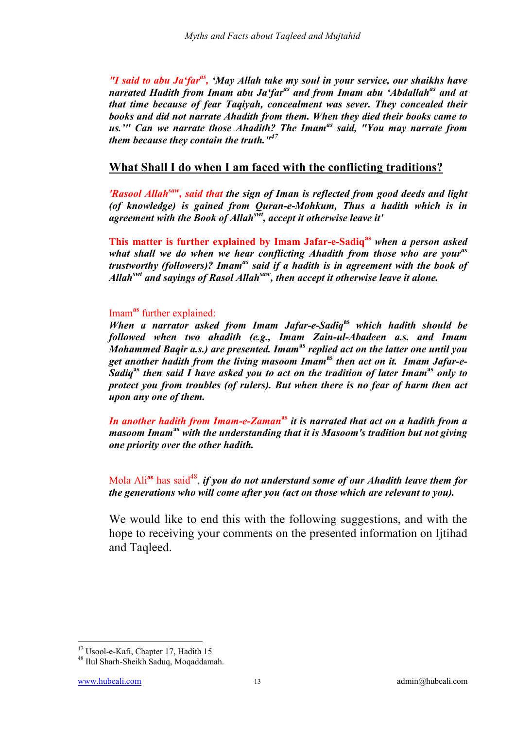*"I said to abu Ja'faras, 'May Allah take my soul in your service, our shaikhs have narrated Hadith from Imam abu Ja'far<sup>as</sup> and from Imam abu 'Abdallah<sup>as</sup> and at that time because of fear Taqiyah, concealment was sever. They concealed their books and did not narrate Ahadith from them. When they died their books came to us.'" Can we narrate those Ahadith? The Imamas said, "You may narrate from them because they contain the truth."<sup>47</sup>*

### **What Shall I do when I am faced with the conflicting traditions?**

*'Rasool Allahsaw, said that the sign of Iman is reflected from good deeds and light (of knowledge) is gained from Quran-e-Mohkum, Thus a hadith which is in agreement with the Book of Allahswt, accept it otherwise leave it'*

**This matter is further explained by Imam Jafar-e-Sadiqas** *when a person asked what shall we do when we hear conflicting Ahadith from those who are youras trustworthy (followers)? Imamas said if a hadith is in agreement with the book of Allahswt and sayings of Rasol Allahsaw, then accept it otherwise leave it alone.* 

#### Imam**as** further explained:

*When a narrator asked from Imam Jafar-e-Sadiq***as** *which hadith should be followed when two ahadith (e.g., Imam Zain-ul-Abadeen a.s. and Imam Mohammed Baqir a.s.) are presented. Imam***as** *replied act on the latter one until you get another hadith from the living masoom Imam***as** *then act on it. Imam Jafar-e-Sadiq***as** *then said I have asked you to act on the tradition of later Imam***as** *only to protect you from troubles (of rulers). But when there is no fear of harm then act upon any one of them.* 

*In another hadith from Imam-e-Zaman***as** *it is narrated that act on a hadith from a masoom Imam***as** *with the understanding that it is Masoom's tradition but not giving one priority over the other hadith.*

Mola Ali<sup>as</sup> has said<sup>48</sup>, *if you do not understand some of our Ahadith leave them for the generations who will come after you (act on those which are relevant to you).*

We would like to end this with the following suggestions, and with the hope to receiving your comments on the presented information on Ijtihad and Taqleed.

<sup>47</sup> Usool-e-Kafi, Chapter 17, Hadith 15

<sup>48</sup> Ilul Sharh-Sheikh Saduq, Moqaddamah.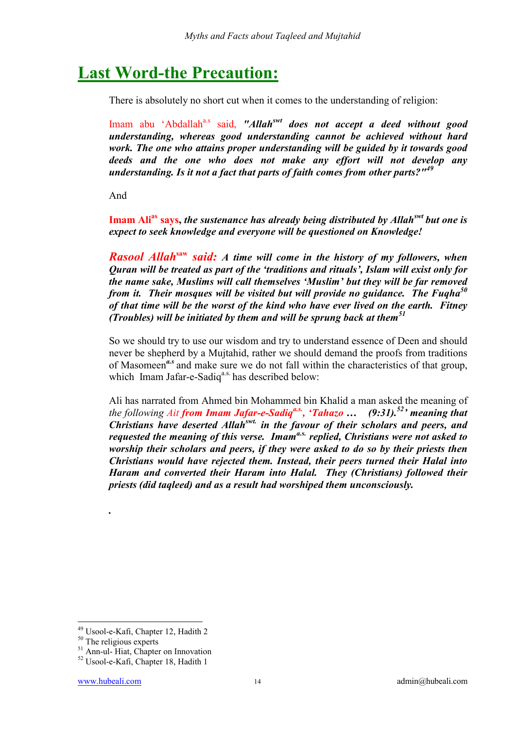# **Last Word-the Precaution:**

There is absolutely no short cut when it comes to the understanding of religion:

Imam abu 'Abdallah<sup>a.s</sup> said, "Allah<sup>*swt*</sup> does not accept a deed without good *understanding, whereas good understanding cannot be achieved without hard work. The one who attains proper understanding will be guided by it towards good deeds and the one who does not make any effort will not develop any understanding. Is it not a fact that parts of faith comes from other parts?"<sup>49</sup>*

And

**Imam Alias says,** *the sustenance has already being distributed by Allahswt but one is expect to seek knowledge and everyone will be questioned on Knowledge!*

*Rasool Allah***saw** *said: A time will come in the history of my followers, when Quran will be treated as part of the 'traditions and rituals', Islam will exist only for the name sake, Muslims will call themselves 'Muslim' but they will be far removed from it. Their mosques will be visited but will provide no guidance. The Fuqha50 of that time will be the worst of the kind who have ever lived on the earth. Fitney (Troubles) will be initiated by them and will be sprung back at them<sup>51</sup>*

So we should try to use our wisdom and try to understand essence of Deen and should never be shepherd by a Mujtahid, rather we should demand the proofs from traditions of Masomeen*a.s* and make sure we do not fall within the characteristics of that group, which Imam Jafar-e-Sadiq<sup>a.s.</sup> has described below:

Ali has narrated from Ahmed bin Mohammed bin Khalid a man asked the meaning of *the following Ait from Imam Jafar-e-Sadiqa.s., 'Tahazo … (9:31).52' meaning that Christians have deserted Allahswt. in the favour of their scholars and peers, and requested the meaning of this verse. Imama.s. replied, Christians were not asked to worship their scholars and peers, if they were asked to do so by their priests then Christians would have rejected them. Instead, their peers turned their Halal into Haram and converted their Haram into Halal. They (Christians) followed their priests (did taqleed) and as a result had worshiped them unconsciously.* 

 $\overline{a}$ 

*.*

<sup>49</sup> Usool-e-Kafi, Chapter 12, Hadith 2

<sup>&</sup>lt;sup>50</sup> The religious experts

<sup>51</sup> Ann-ul- Hiat, Chapter on Innovation

<sup>52</sup> Usool-e-Kafi, Chapter 18, Hadith 1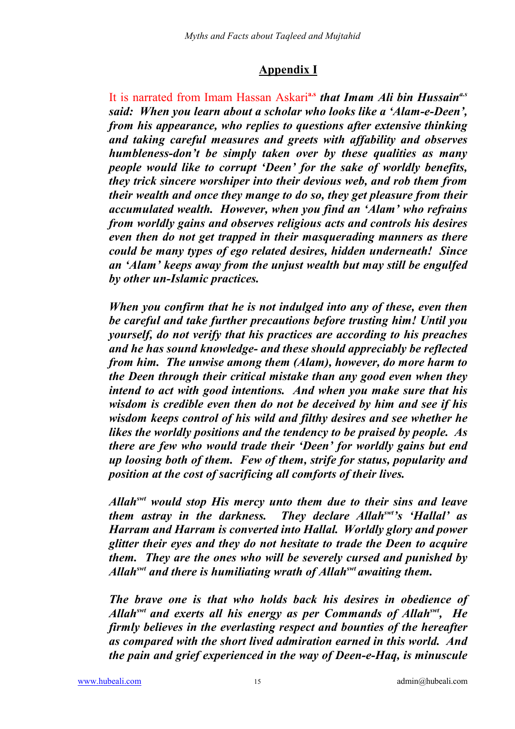# **Appendix I**

It is narrated from Imam Hassan Askari**a.s** *that Imam Ali bin Hussaina.s said: When you learn about a scholar who looks like a 'Alam-e-Deen', from his appearance, who replies to questions after extensive thinking and taking careful measures and greets with affability and observes humbleness-don't be simply taken over by these qualities as many people would like to corrupt 'Deen' for the sake of worldly benefits, they trick sincere worshiper into their devious web, and rob them from their wealth and once they mange to do so, they get pleasure from their accumulated wealth. However, when you find an 'Alam' who refrains from worldly gains and observes religious acts and controls his desires even then do not get trapped in their masquerading manners as there could be many types of ego related desires, hidden underneath! Since an 'Alam' keeps away from the unjust wealth but may still be engulfed by other un-Islamic practices.* 

*When you confirm that he is not indulged into any of these, even then be careful and take further precautions before trusting him! Until you yourself, do not verify that his practices are according to his preaches and he has sound knowledge- and these should appreciably be reflected from him. The unwise among them (Alam), however, do more harm to the Deen through their critical mistake than any good even when they intend to act with good intentions. And when you make sure that his wisdom is credible even then do not be deceived by him and see if his wisdom keeps control of his wild and filthy desires and see whether he likes the worldly positions and the tendency to be praised by people. As there are few who would trade their 'Deen' for worldly gains but end up loosing both of them. Few of them, strife for status, popularity and position at the cost of sacrificing all comforts of their lives.* 

*Allahswt would stop His mercy unto them due to their sins and leave them astray in the darkness. They declare Allahswt's 'Hallal' as Harram and Harram is converted into Hallal. Worldly glory and power glitter their eyes and they do not hesitate to trade the Deen to acquire them. They are the ones who will be severely cursed and punished by Allahswt and there is humiliating wrath of Allahswt awaiting them.* 

*The brave one is that who holds back his desires in obedience of Allahswt and exerts all his energy as per Commands of Allahswt, He firmly believes in the everlasting respect and bounties of the hereafter as compared with the short lived admiration earned in this world. And the pain and grief experienced in the way of Deen-e-Haq, is minuscule*